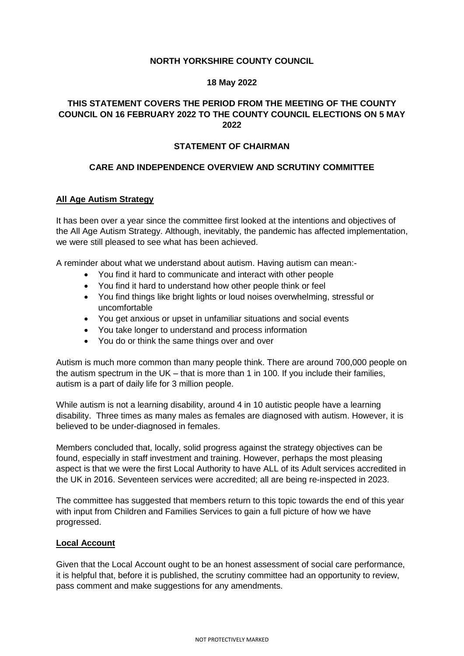## **NORTH YORKSHIRE COUNTY COUNCIL**

### **18 May 2022**

# **THIS STATEMENT COVERS THE PERIOD FROM THE MEETING OF THE COUNTY COUNCIL ON 16 FEBRUARY 2022 TO THE COUNTY COUNCIL ELECTIONS ON 5 MAY 2022**

### **STATEMENT OF CHAIRMAN**

### **CARE AND INDEPENDENCE OVERVIEW AND SCRUTINY COMMITTEE**

### **All Age Autism Strategy**

It has been over a year since the committee first looked at the intentions and objectives of the All Age Autism Strategy. Although, inevitably, the pandemic has affected implementation, we were still pleased to see what has been achieved.

A reminder about what we understand about autism. Having autism can mean:-

- You find it hard to communicate and interact with other people
- You find it hard to understand how other people think or feel
- You find things like bright lights or loud noises overwhelming, stressful or uncomfortable
- You get anxious or upset in unfamiliar situations and social events
- You take longer to understand and process information
- You do or think the same things over and over

Autism is much more common than many people think. There are around 700,000 people on the autism spectrum in the UK – that is more than 1 in 100. If you include their families, autism is a part of daily life for 3 million people.

While autism is not a learning disability, around 4 in 10 autistic people have a learning disability. Three times as many males as females are diagnosed with autism. However, it is believed to be under-diagnosed in females.

Members concluded that, locally, solid progress against the strategy objectives can be found, especially in staff investment and training. However, perhaps the most pleasing aspect is that we were the first Local Authority to have ALL of its Adult services accredited in the UK in 2016. Seventeen services were accredited; all are being re-inspected in 2023.

The committee has suggested that members return to this topic towards the end of this year with input from Children and Families Services to gain a full picture of how we have progressed.

#### **Local Account**

Given that the Local Account ought to be an honest assessment of social care performance, it is helpful that, before it is published, the scrutiny committee had an opportunity to review, pass comment and make suggestions for any amendments.